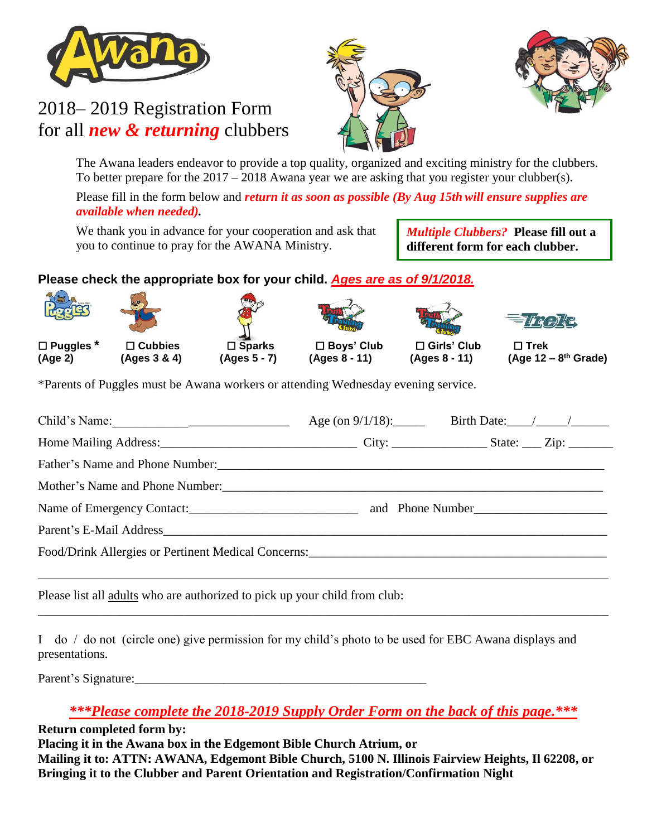

## 2018– 2019 Registration Form for all *new & returning* clubbers





The Awana leaders endeavor to provide a top quality, organized and exciting ministry for the clubbers. To better prepare for the  $2017 - 2018$  Awana year we are asking that you register your clubber(s).

Please fill in the form below and *return it as soon as possible (By Aug 15thwill ensure supplies are available when needed).*

We thank you in advance for your cooperation and ask that you to continue to pray for the AWANA Ministry.

*Multiple Clubbers?* **Please fill out a different form for each clubber.**

## **Please check the appropriate box for your child.** *Ages are as of 9/1/2018.*

 **Puggles \* Cubbies Sparks Boys' Club Girls' Club Trek (Age 2) (Ages 3 & 4) (Ages 5 - 7) (Ages 8 - 11) (Ages 8 - 11) (Age 12 – 8**







**th Grade)**

\*Parents of Puggles must be Awana workers or attending Wednesday evening service.

| Child's Name: |  |
|---------------|--|
|               |  |
|               |  |
|               |  |
|               |  |
|               |  |
|               |  |
|               |  |

Please list all adults who are authorized to pick up your child from club:

I do / do not (circle one) give permission for my child's photo to be used for EBC Awana displays and presentations.

Parent's Signature:

*\*\*\*Please complete the 2018-2019 Supply Order Form on the back of this page.\*\*\**

\_\_\_\_\_\_\_\_\_\_\_\_\_\_\_\_\_\_\_\_\_\_\_\_\_\_\_\_\_\_\_\_\_\_\_\_\_\_\_\_\_\_\_\_\_\_\_\_\_\_\_\_\_\_\_\_\_\_\_\_\_\_\_\_\_\_\_\_\_\_\_\_\_\_\_\_\_\_\_\_\_\_\_\_\_\_\_\_\_\_

**Return completed form by:**

**Placing it in the Awana box in the Edgemont Bible Church Atrium, or** 

**Mailing it to: ATTN: AWANA, Edgemont Bible Church, 5100 N. Illinois Fairview Heights, Il 62208, or Bringing it to the Clubber and Parent Orientation and Registration/Confirmation Night**